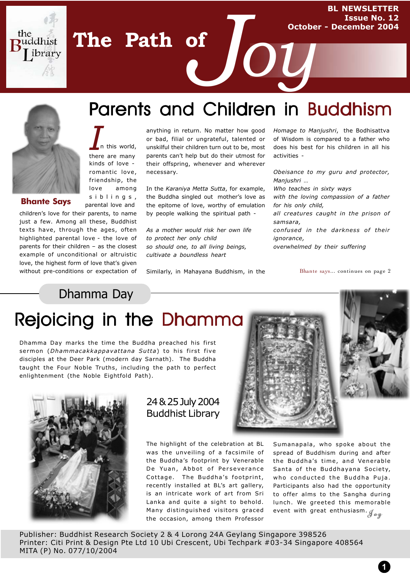**BL NEWSLETTER Issue No. 12 October - December 2004**

the

uddhist ibrary

**Bhante Says**

kinds of love romantic love, friendship, the love among siblings, parental love and

n this world, there are many

*I*

**The Path of**

children's love for their parents, to name just a few. Among all these, Buddhist texts have, through the ages, often highlighted parental love - the love of parents for their children – as the closest example of unconditional or altruistic love, the highest form of love that's given without pre-conditions or expectation of

# Parents and Children in Buddhism of *Joy*

anything in return. No matter how good or bad, filial or ungrateful, talented or unskilful their children turn out to be, most parents can't help but do their utmost for their offspring, whenever and wherever necessary.

In the *Karaniya Metta Sutta*, for example, the Buddha singled out mother's love as the epitome of love, worthy of emulation by people walking the spiritual path -

*As a mother would risk her own life to protect her only child so should one, to all living beings, cultivate a boundless heart*

Similarly, in Mahayana Buddhism, in the

*Homage to Manjushri*, the Bodhisattva of Wisdom is compared to a father who does his best for his children in all his activities -

*Obeisance to my guru and protector, Manjushri …*

*Who teaches in sixty ways*

*with the loving compassion of a father for his only child,*

*all creatures caught in the prison of samsara,*

*confused in the darkness of their ignorance,*

*overwhelmed by their suffering*

Bhante says... continues on page 2

Dhamma Day

# Rejoicing in the Dhamma

Dhamma Day marks the time the Buddha preached his first sermon (*Dhammacakkappavattana Sutta*) to his first five disciples at the Deer Park (modern day Sarnath). The Buddha taught the Four Noble Truths, including the path to perfect enlightenment (the Noble Eightfold Path).



### 24 & 25 July 2004 Buddhist Library

The highlight of the celebration at BL was the unveiling of a facsimile of the Buddha's footprint by Venerable De Yuan, Abbot of Perseverance Cottage. The Buddha's footprint, recently installed at BL's art gallery, is an intricate work of art from Sri Lanka and quite a sight to behold. Many distinguished visitors graced Many distinguished visitors graced  $\;$  event with great enthusiasm. ${\cal J}_{\bm a\bm y}$ the occasion, among them Professor



Sumanapala, who spoke about the spread of Buddhism during and after the Buddha's time, and Venerable Santa of the Buddhayana Society, who conducted the Buddha Puja. Participants also had the opportunity to offer alms to the Sangha during lunch. We greeted this memorable

**1**

Publisher: Buddhist Research Society 2 & 4 Lorong 24A Geylang Singapore 398526 Printer: Citi Print & Design Pte Ltd 10 Ubi Crescent, Ubi Techpark #03-34 Singapore 408564 MITA (P) No. 077/10/2004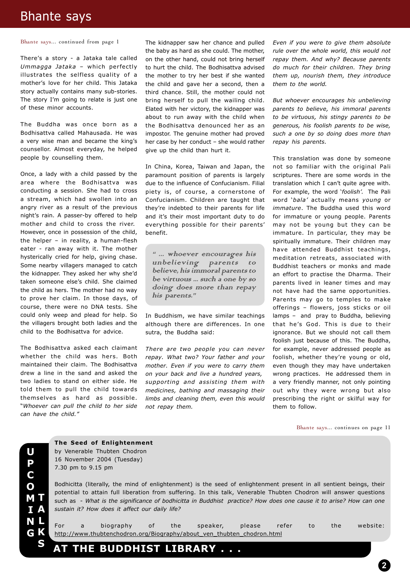## Bhante says

Bhante says... continued from page 1

There's a story - a Jataka tale called *Ummagga Jataka* – which perfectly illustrates the selfless quality of a mother's love for her child. This Jataka story actually contains many sub-stories. The story I'm going to relate is just one of these minor accounts.

The Buddha was once born as a Bodhisattva called Mahausada. He was a very wise man and became the king's counsellor. Almost everyday, he helped people by counselling them.

Once, a lady with a child passed by the area where the Bodhisattva was conducting a session. She had to cross a stream, which had swollen into an angry river as a result of the previous night's rain. A passer-by offered to help mother and child to cross the river. However, once in possession of the child, the helper – in reality, a human-flesh eater - ran away with it. The mother hysterically cried for help, giving chase. Some nearby villagers managed to catch the kidnapper. They asked her why she'd taken someone else's child. She claimed the child as hers. The mother had no way to prove her claim. In those days, of course, there were no DNA tests. She could only weep and plead for help. So the villagers brought both ladies and the child to the Bodhisattva for advice.

The Bodhisattva asked each claimant whether the child was hers. Both maintained their claim. The Bodhisattva drew a line in the sand and asked the two ladies to stand on either side. He told them to pull the child towards themselves as hard as possible. "*Whoever can pull the child to her side can have the child."*

The kidnapper saw her chance and pulled the baby as hard as she could. The mother, on the other hand, could not bring herself to hurt the child. The Bodhisattva advised the mother to try her best if she wanted the child and gave her a second, then a third chance. Still, the mother could not bring herself to pull the wailing child. Elated with her victory, the kidnapper was about to run away with the child when the Bodhisattva denounced her as an impostor. The genuine mother had proved her case by her conduct – she would rather give up the child than hurt it.

In China, Korea, Taiwan and Japan, the paramount position of parents is largely due to the influence of Confucianism. Filial piety is, of course, a cornerstone of Confucianism. Children are taught that they're indebted to their parents for life and it's their most important duty to do everything possible for their parents' benefit.

" ... whoever encourages his unbelieving parents to believe, his immoral parents to be virtuous ... such a one by so doing does more than repay his parents."

In Buddhism, we have similar teachings although there are differences. In one sutra, the Buddha said:

*There are two people you can never repay. What two? Your father and your mother. Even if you were to carry them on your back and live a hundred years, supporting and assisting them with medicines, bathing and massaging their limbs and cleaning them, even this would not repay them.*

*Even if you were to give them absolute rule over the whole world, this would not repay them. And why? Because parents do much for their children. They bring them up, nourish them, they introduce them to the world.*

*But whoever encourages his unbelieving parents to believe, his immoral parents to be virtuous, his stingy parents to be generous, his foolish parents to be wise, such a one by so doing does more than repay his parents.*

This translation was done by someone not so familiar with the original Pali scriptures. There are some words in the translation which I can't quite agree with. For example, the word '*foolish'.* The Pali word '*bala'* actually means *young* or *immature*. The Buddha used this word for immature or young people. Parents may not be young but they can be immature. In particular, they may be spiritually immature. Their children may have attended Buddhist teachings, meditation retreats, associated with Buddhist teachers or monks and made an effort to practise the Dharma. Their parents lived in leaner times and may not have had the same opportunities. Parents may go to temples to make offerings – flowers, joss sticks or oil lamps – and pray to Buddha, believing that he's God. This is due to their ignorance. But we should not call them foolish just because of this. The Buddha, for example, never addressed people as foolish, whether they're young or old, even though they may have undertaken wrong practices. He addressed them in a very friendly manner, not only pointing out why they were wrong but also prescribing the right or skilful way for them to follow.

Bhante says... continues on page 11

**U P C O M T I N G A L K S**

#### **The Seed of Enlightenment** by Venerable Thubten Chodron 16 November 2004 (Tuesday) 7.30 pm to 9.15 pm

Bodhicitta (literally, the mind of enlightenment) is the seed of enlightenment present in all sentient beings, their potential to attain full liberation from suffering. In this talk, Venerable Thubten Chodron will answer questions such as - *What is the significance of bodhicitta in Buddhist practice? How does one cause it to arise? How can one sustain it? How does it affect our daily life?*

For a biography of the speaker, please refer to the website: http://www.thubtenchodron.org/Biography/about\_ven\_thubten\_chodron.html

**AT THE BUDDHIST LIBRARY . . .**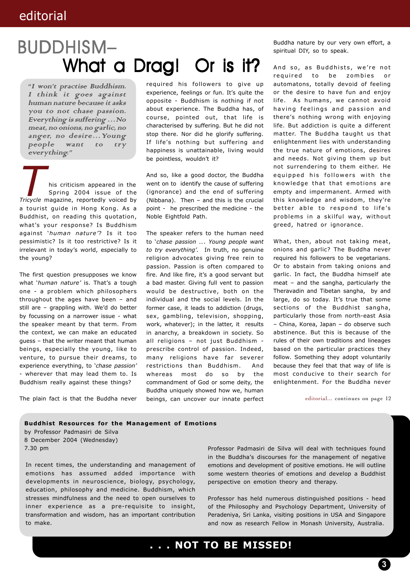# What a Drag! Or is it? BUDDHISM– BUDDHISM–

"I won't practise Buddhism. I think it goes against human nature because it asks you to not chase passion. Everything is suffering …No meat, no onions, no garlic, no anger, no desire...Young<br>people want to try want to try everything."

**Tricycle magazine, reportedly voiced by**<br>*Tricycle* magazine, reportedly voiced by a tourist guide in Hong Kong. As a Buddhist, on reading this quotation, what's your response? Is Buddhism against '*human nature'*? Is it too pessimistic? Is it too restrictive? Is it irrelevant in today's world, especially to the young? his criticism appeared in the Spring 2004 issue of the

The first question presupposes we know what '*human nature'* is. That's a tough one - a problem which philosophers throughout the ages have been – and still are – grappling with. We'd do better by focussing on a narrower issue - what the speaker meant by that term. From the context, we can make an educated guess – that the writer meant that human beings, especially the young, like to venture, to pursue their dreams, to experience everything, to '*chase passion'* - wherever that may lead them to. Is Buddhism really against these things?

The plain fact is that the Buddha never

required his followers to give up experience, feelings or fun. It's quite the opposite - Buddhism is nothing if not about experience. The Buddha has, of course, pointed out, that life is characterised by suffering. But he did not stop there. Nor did he glorify suffering. If life's nothing but suffering and happiness is unattainable, living would be pointless, wouldn't it?

And so, like a good doctor, the Buddha went on to identify the cause of suffering (ignorance) and the end of suffering (Nibbana). Then – and this is the crucial point - he prescribed the medicine - the Noble Eightfold Path.

The speaker refers to the human need to '*chase passion …*. *Young people want to try everything'.* In truth, no genuine religion advocates giving free rein to passion. Passion is often compared to fire. And like fire, it's a good servant but a bad master. Giving full vent to passion would be destructive, both on the individual and the social levels. In the former case, it leads to addiction (drugs, sex, gambling, television, shopping, work, whatever); in the latter, it results in anarchy, a breakdown in society. So all religions – not just Buddhism prescribe control of passion. Indeed, many religions have far severer restrictions than Buddhism. And whereas most do so by the commandment of God or some deity, the Buddha uniquely showed how we, human beings, can uncover our innate perfect Buddha nature by our very own effort, a spiritual DIY, so to speak.

And so, as Buddhists, we're not required to be zombies or automatons, totally devoid of feeling or the desire to have fun and enjoy life. As humans, we cannot avoid having feelings and passion and there's nothing wrong with enjoying life. But addiction is quite a different matter. The Buddha taught us that enlightenment lies with understanding the true nature of emotions, desires and needs. Not giving them up but not surrendering to them either. He equipped his followers with the knowledge that that emotions are empty and impermanent. Armed with this knowledge and wisdom, they're better able to respond to life's problems in a skilful way, without greed, hatred or ignorance.

What, then, about not taking meat, onions and garlic? The Buddha never required his followers to be vegetarians. Or to abstain from taking onions and garlic. In fact, the Buddha himself ate meat – and the sangha, particularly the Theravadin and Tibetan sangha, by and large, do so today. It's true that some sections of the Buddhist sangha, particularly those from north-east Asia – China, Korea, Japan – do observe such abstinence. But this is because of the rules of their own traditions and lineages based on the particular practices they follow. Something they adopt voluntarily because they feel that that way of life is most conducive to their search for enlightenment. For the Buddha never

editorial... continues on page 12

**Buddhist Resources for the Management of Emotions** by Professor Padmasiri de Silva 8 December 2004 (Wednesday) 7.30 pm

In recent times, the understanding and management of emotions has assumed added importance with developments in neuroscience, biology, psychology, education, philosophy and medicine. Buddhism, which stresses mindfulness and the need to open ourselves to inner experience as a pre-requisite to insight, transformation and wisdom, has an important contribution to make.

Professor Padmasiri de Silva will deal with techniques found in the Buddha's discourses for the management of negative emotions and development of positive emotions. He will outline some western theories of emotions and develop a Buddhist perspective on emotion theory and therapy.

Professor has held numerous distinguished positions - head of the Philosophy and Psychology Department, University of Peradeniya, Sri Lanka, visiting positions in USA and Singapore and now as research Fellow in Monash University, Australia.

**. . . NOT TO BE MISSED!**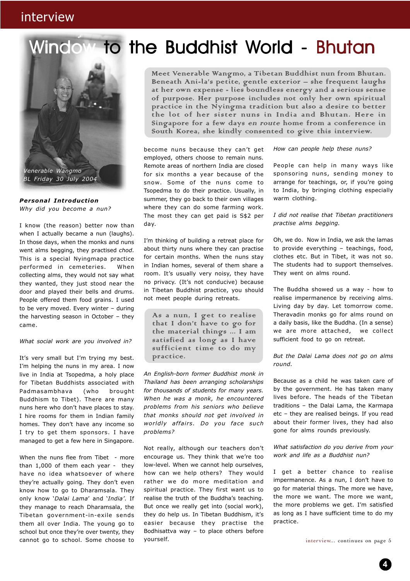## interview

# indow to the Buddhist World - Bhutan



*Personal Introduction Why did you become a nun?*

I know (the reason) better now than when I actually became a nun (laughs). In those days, when the monks and nuns went alms begging, they practised *chod*. This is a special Nyingmapa practice performed in cemeteries. When collecting alms, they would not say what they wanted, they just stood near the door and played their bells and drums. People offered them food grains. I used to be very moved. Every winter – during the harvesting season in October – they came.

*What social work are you involved in?*

It's very small but I'm trying my best. I'm helping the nuns in my area. I now live in India at Tsopedma, a holy place for Tibetan Buddhists associated with Padmasambhava (who brought Buddhism to Tibet). There are many nuns here who don't have places to stay. I hire rooms for them in Indian family homes. They don't have any income so I try to get them sponsors. I have managed to get a few here in Singapore.

When the nuns flee from Tibet - more than 1,000 of them each year - they have no idea whatsoever of where they're actually going. They don't even know how to go to Dharamsala. They only know '*Dalai Lama*' and '*India'*. If they manage to reach Dharamsala, the Tibetan government-in-exile sends them all over India. The young go to school but once they're over twenty, they cannot go to school. Some choose to

Meet Venerable Wangmo, a Tibetan Buddhist nun from Bhutan. Beneath Ani-la's petite, gentle exterior – she frequent laughs at her own expense - lies boundless energy and a serious sense of purpose. Her purpose includes not only her own spiritual practice in the Nyingma tradition but also a desire to better the lot of her sister nuns in India and Bhutan. Here in Singapore for a few days en route home from a conference in South Korea, she kindly consented to give this interview.

become nuns because they can't get employed, others choose to remain nuns. Remote areas of northern India are closed for six months a year because of the snow. Some of the nuns come to Tsopedma to do their practice. Usually, in summer, they go back to their own villages where they can do some farming work. The most they can get paid is S\$2 per day.

I'm thinking of building a retreat place for about thirty nuns where they can practise for certain months. When the nuns stay in Indian homes, several of them share a room. It's usually very noisy, they have no privacy. (It's not conducive) because in Tibetan Buddhist practice, you should not meet people during retreats.

As a nun, I get to realise that I don't have to go for the material things ... I am satisfied as long as I have sufficient time to do my practice.

*An English-born former Buddhist monk in Thailand has been arranging scholarships for thousands of students for many years. When he was a monk, he encountered problems from his seniors who believe that monks should not get involved in worldly affairs. Do you face such problems?*

Not really, although our teachers don't encourage us. They think that we're too low-level. When we cannot help ourselves, how can we help others? They would rather we do more meditation and spiritual practice. They first want us to realise the truth of the Buddha's teaching. But once we really get into (social work), they do help us. In Tibetan Buddhism, it's easier because they practise the Bodhisattva way – to place others before yourself.

#### *How can people help these nuns?*

People can help in many ways like sponsoring nuns, sending money to arrange for teachings, or, if you're going to India, by bringing clothing especially warm clothing.

*I did not realise that Tibetan practitioners practise alms begging.*

Oh, we do. Now in India, we ask the lamas to provide everything – teachings, food, clothes etc. But in Tibet, it was not so. The students had to support themselves. They went on alms round.

The Buddha showed us a way - how to realise impermanence by receiving alms. Living day by day. Let tomorrow come. Theravadin monks go for alms round on a daily basis, like the Buddha. (In a sense) we are more attached, we collect sufficient food to go on retreat.

*But the Dalai Lama does not go on alms round.*

Because as a child he was taken care of by the government. He has taken many lives before. The heads of the Tibetan traditions – the Dalai Lama, the Karmapa etc – they are realised beings. If you read about their former lives, they had also gone for alms rounds previously.

*What satisfaction do you derive from your work and life as a Buddhist nun?*

I get a better chance to realise impermanence. As a nun, I don't have to go for material things. The more we have, the more we want. The more we want, the more problems we get. I'm satisfied as long as I have sufficient time to do my practice.

interview... continues on page 5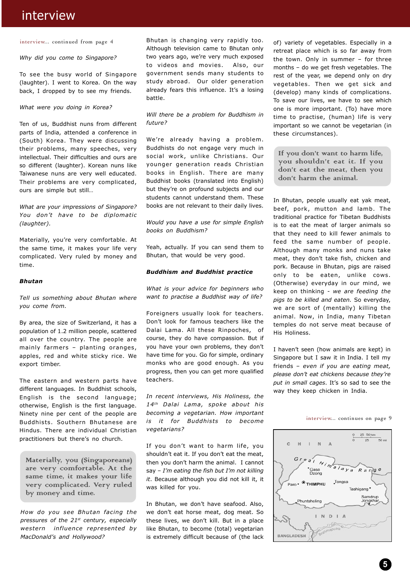## interview

#### interview... continued from page 4

#### *Why did you come to Singapore?*

To see the busy world of Singapore (laughter). I went to Korea. On the way back, I dropped by to see my friends.

#### *What were you doing in Korea?*

Ten of us, Buddhist nuns from different parts of India, attended a conference in (South) Korea. They were discussing their problems, many speeches, very intellectual. Their difficulties and ours are so different (laughter). Korean nuns like Taiwanese nuns are very well educated. Their problems are very complicated, ours are simple but still…

#### *What are your impressions of Singapore? You don't have to be diplomatic (laughter).*

Materially, you're very comfortable. At the same time, it makes your life very complicated. Very ruled by money and time.

#### *Bhutan*

*Tell us something about Bhutan where you come from.*

By area, the size of Switzerland, it has a population of 1.2 million people, scattered all over the country. The people are mainly farmers – planting oranges, apples, red and white sticky rice. We export timber.

The eastern and western parts have different languages. In Buddhist schools, English is the second language; otherwise, English is the first language. Ninety nine per cent of the people are Buddhists. Southern Bhutanese are Hindus. There are individual Christian practitioners but there's no church.

Materially, you (Singaporeans) are very comfortable. At the same time, it makes your life very complicated. Very ruled by money and time.

*How do you see Bhutan facing the pressures of the 21st century, especially western influence represented by MacDonald's and Hollywood?*

Bhutan is changing very rapidly too. Although television came to Bhutan only two years ago, we're very much exposed to videos and movies. Also, our government sends many students to study abroad. Our older generation already fears this influence. It's a losing battle.

*Will there be a problem for Buddhism in future?*

We're already having a problem. Buddhists do not engage very much in social work, unlike Christians. Our younger generation reads Christian books in English. There are many Buddhist books (translated into English) but they're on profound subjects and our students cannot understand them. These books are not relevant to their daily lives.

*Would you have a use for simple English books on Buddhism?*

Yeah, actually. If you can send them to Bhutan, that would be very good.

#### *Buddhism and Buddhist practice*

*What is your advice for beginners who want to practise a Buddhist way of life?*

Foreigners usually look for teachers. Don't look for famous teachers like the Dalai Lama. All these Rinpoches, of course, they do have compassion. But if you have your own problems, they don't have time for you. Go for simple, ordinary monks who are good enough. As you progress, then you can get more qualified teachers.

*In recent interviews, His Holiness, the 14th Dalai Lama, spoke about his becoming a vegetarian. How important is it for Buddhists to become vegetarians?*

If you don't want to harm life, you shouldn't eat it. If you don't eat the meat, then you don't harm the animal. I cannot say – *I'm eating the fish but I'm not killing it*. Because although you did not kill it, it was killed for you.

In Bhutan, we don't have seafood. Also, we don't eat horse meat, dog meat. So these lives, we don't kill. But in a place like Bhutan, to become (total) vegetarian is extremely difficult because of (the lack of) variety of vegetables. Especially in a retreat place which is so far away from the town. Only in summer – for three months – do we get fresh vegetables. The rest of the year, we depend only on dry vegetables. Then we get sick and (develop) many kinds of complications. To save our lives, we have to see which one is more important. (To) have more time to practise, (human) life is very important so we cannot be vegetarian (in these circumstances).

If you don't want to harm life. you shouldn't eat it. If you don't eat the meat, then you don't harm the animal.

In Bhutan, people usually eat yak meat, beef, pork, mutton and lamb. The traditional practice for Tibetan Buddhists is to eat the meat of larger animals so that they need to kill fewer animals to feed the same number of people. Although many monks and nuns take meat, they don't take fish, chicken and pork. Because in Bhutan, pigs are raised only to be eaten, unlike cows. (Otherwise) everyday in our mind, we keep on thinking - *we are feeding the pigs to be killed and eaten.* So everyday, we are sort of (mentally) killing the animal. Now, in India, many Tibetan temples do not serve meat because of His Holiness.

I haven't seen (how animals are kept) in Singapore but I saw it in India. I tell my friends – *even if you are eating meat, please don't eat chickens because they're put in small cages*. It's so sad to see the way they keep chicken in India.

#### 25 50 km  $\overline{50}$  mi  $\mathbf{c}$  $\mathbb{H}$  $\mathbb{R}^{\mathbb{Z}}$  $N$  $\frac{e_{a}f_{h}}{e_{\text{asa}}$  $R$  a  $n$ g e Paro · THIMPHU Tongsa Tashigang<sup>\*</sup> Samdrup<br>Jongkhar Phuntsholing INDIA BANGLADESH

interview... continues on page 9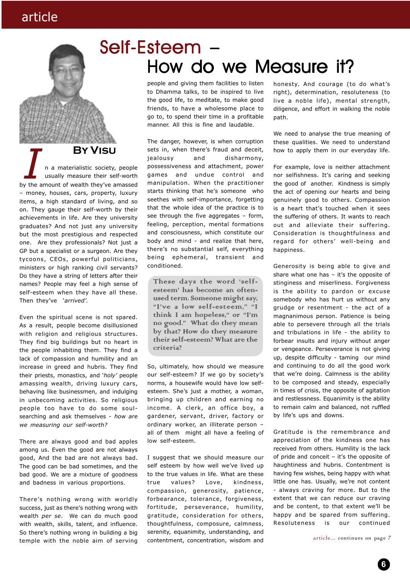# Self-Esteem – How do we Measure it?

people and giving them facilities to listen to Dhamma talks, to be inspired to live the good life, to meditate, to make good friends, to have a wholesome place to go to, to spend their time in a profitable manner. All this is fine and laudable.

The danger, however, is when corruption sets in, when there's fraud and deceit, jealousy and disharmony, possessiveness and attachment, power games and undue control and manipulation. When the practitioner starts thinking that he's someone who seethes with self-importance, forgetting that the whole idea of the practice is to see through the five aggregates - form, feeling, perception, mental formations and consciousness, which constitute our body and mind - and realize that here, there's no substantial self, everything being ephemeral, transient and conditioned.

These days the word 'selfesteem' has become an oftenused term. Someone might say, "I've a low self-esteem," "I think I am hopeless," or "I'm no good." What do they mean by that? How do they measure their self-esteem? What are the criteria?

So, ultimately, how should we measure our self-esteem? If we go by society's norms, a housewife would have low selfesteem. She's just a mother, a woman, bringing up children and earning no income. A clerk, an office boy, a gardener, servant, driver, factory or ordinary worker, an illiterate person – all of them might all have a feeling of low self-esteem.

I suggest that we should measure our self esteem by how well we've lived up to the true values in life. What are these true values? Love, kindness, compassion, generosity, patience, forbearance, tolerance, forgiveness, fortitude, perseverance, humility, gratitude, consideration for others, thoughtfulness, composure, calmness, serenity, equanimity, understanding, and contentment, concentration, wisdom and

honesty. And courage (to do what's right), determination, resoluteness (to live a noble life), mental strength, diligence, and effort in walking the noble path.

We need to analyse the true meaning of these qualities. We need to understand how to apply them in our everyday life.

For example, love is neither attachment nor selfishness. It's caring and seeking the good of another. Kindness is simply the act of opening our hearts and being genuinely good to others. Compassion is a heart that's touched when it sees the suffering of others. It wants to reach out and alleviate their suffering. Consideration is thoughtfulness and regard for others' well-being and happiness.

Generosity is being able to give and share what one has – it's the opposite of stinginess and miserliness. Forgiveness is the ability to pardon or excuse somebody who has hurt us without any grudge or resentment - the act of a magnanimous person. Patience is being able to persevere through all the trials and tribulations in life - the ability to forbear insults and injury without anger or vengeance. Perseverance is not giving up, despite difficulty - taming our mind and continuing to do all the good work that we're doing. Calmness is the ability to be composed and steady, especially in times of crisis, the opposite of agitation and restlessness. Equanimity is the ability to remain calm and balanced, not ruffled by life's ups and downs.

Gratitude is the remembrance and appreciation of the kindness one has received from others. Humility is the lack of pride and conceit – it's the opposite of haughtiness and hubris. Contentment is having few wishes, being happy with what little one has. Usually, we're not content - always craving for more. But to the extent that we can reduce our craving and be content, to that extent we'll be happy and be spared from suffering. Resoluteness is our continued

article... continues on page 7

**BY VISU**<br> **ISPN 150**<br>
In a materialistic society, people<br>
usually measure their self-worth<br>
by the amount of wealth they've amassed – money, houses, cars, property, luxury items, a high standard of living, and so on. They gauge their self-worth by their achievements in life. Are they university graduates? And not just any university but the most prestigious and respected one. Are they professionals? Not just a GP but a specialist or a surgeon. Are they tycoons, CEOs, powerful politicians, ministers or high ranking civil servants? Do they have a string of letters after their names? People may feel a high sense of self-esteem when they have all these. Then they've '*arrived'.* n a materialistic society, people usually measure their self-worth

**By Visu**

Even the spiritual scene is not spared. As a result, people become disillusioned with religion and religious structures. They find big buildings but no heart in the people inhabiting them. They find a lack of compassion and humility and an increase in greed and hubris. They find their priests, monastics, and '*holy'* people amassing wealth, driving luxury cars, behaving like businessmen, and indulging in unbecoming activities. So religious people too have to do some soulsearching and ask themselves - *how are we measuring our self-worth?*

There are always good and bad apples among us. Even the good are not always good, And the bad are not always bad. The good can be bad sometimes, and the bad good. We are a mixture of goodness and badness in various proportions.

There's nothing wrong with worldly success, just as there's nothing wrong with wealth *per se*. We can do much good with wealth, skills, talent, and influence. So there's nothing wrong in building a big temple with the noble aim of serving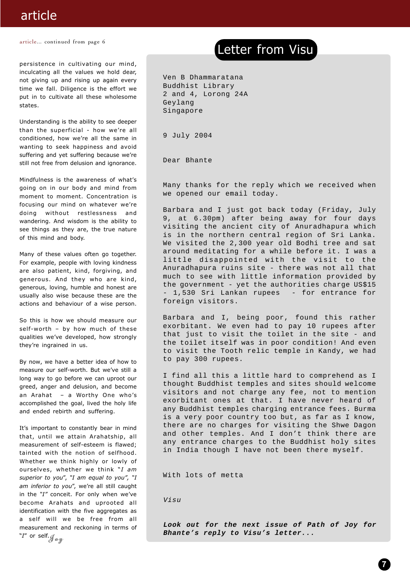## article

article... continued from page 6

persistence in cultivating our mind, inculcating all the values we hold dear, not giving up and rising up again every time we fall. Diligence is the effort we put in to cultivate all these wholesome states.

Understanding is the ability to see deeper than the superficial - how we're all conditioned, how we're all the same in wanting to seek happiness and avoid suffering and yet suffering because we're still not free from delusion and ignorance.

Mindfulness is the awareness of what's going on in our body and mind from moment to moment. Concentration is focusing our mind on whatever we're doing without restlessness and wandering. And wisdom is the ability to see things as they are, the true nature of this mind and body.

Many of these values often go together. For example, people with loving kindness are also patient, kind, forgiving, and generous. And they who are kind, generous, loving, humble and honest are usually also wise because these are the actions and behaviour of a wise person.

So this is how we should measure our self-worth – by how much of these qualities we've developed, how strongly they're ingrained in us.

By now, we have a better idea of how to measure our self-worth. But we've still a long way to go before we can uproot our greed, anger and delusion, and become an Arahat – a Worthy One who's accomplished the goal, lived the holy life and ended rebirth and suffering.

It's important to constantly bear in mind that, until we attain Arahatship, all measurement of self-esteem is flawed; tainted with the notion of selfhood. Whether we think highly or lowly of ourselves, whether we think "*I am superior to you*", *"I am equal to you", "I am inferior to you*", we're all still caught in the *"I"* conceit. For only when we've become Arahats and uprooted all identification with the five aggregates as a self will we be free from all measurement and reckoning in terms of "*I*" or self.

## Letter from Visu

Ven B Dhammaratana Buddhist Library 2 and 4, Lorong 24A Geylang Singapore

9 July 2004

Dear Bhante

Many thanks for the reply which we received when we opened our email today.

Barbara and I just got back today (Friday, July 9, at 6.30pm) after being away for four days visiting the ancient city of Anuradhapura which is in the northern central region of Sri Lanka. We visited the 2,300 year old Bodhi tree and sat around meditating for a while before it. I was a little disappointed with the visit to the Anuradhapura ruins site - there was not all that much to see with little information provided by the government - yet the authorities charge US\$15 - 1,530 Sri Lankan rupees - for entrance for foreign visitors.

Barbara and I, being poor, found this rather exorbitant. We even had to pay 10 rupees after that just to visit the toilet in the site - and the toilet itself was in poor condition! And even to visit the Tooth relic temple in Kandy, we had to pay 300 rupees.

I find all this a little hard to comprehend as I thought Buddhist temples and sites should welcome visitors and not charge any fee, not to mention exorbitant ones at that. I have never heard of any Buddhist temples charging entrance fees. Burma is a very poor country too but, as far as I know, there are no charges for visiting the Shwe Dagon and other temples. And I don't think there are any entrance charges to the Buddhist holy sites in India though I have not been there myself.

With lots of metta

Visu

**Look out for the next issue of Path of Joy for** Bhante's reply to Visu's letter...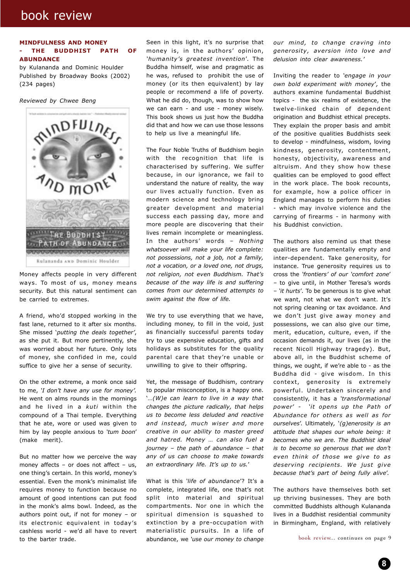## book review

#### **MINDFULNESS AND MONEY - THE BUDDHIST PATH OF ABUNDANCE**

by Kulananda and Dominic Houlder Published by Broadway Books (2002) (234 pages)

*Reviewed by Chwee Beng*



Money affects people in very different ways. To most of us, money means security. But this natural sentiment can be carried to extremes.

A friend, who'd stopped working in the fast lane, returned to it after six months. She missed '*putting the deals together'*, as she put it. But more pertinently, she was worried about her future. Only lots of money, she confided in me, could suffice to give her a sense of security.

On the other extreme, a monk once said to me, *'I don't have any use for money'.* He went on alms rounds in the mornings and he lived in a *kuti* within the compound of a Thai temple. Everything that he ate, wore or used was given to him by lay people anxious to *'tum boon*' (make merit).

But no matter how we perceive the way money affects – or does not affect – us, one thing's certain. In this world, money's essential. Even the monk's minimalist life requires money to function because no amount of good intentions can put food in the monk's alms bowl. Indeed, as the authors point out, if not for money – or its electronic equivalent in today's cashless world - we'd all have to revert to the barter trade.

Seen in this light, it's no surprise that money is, in the authors' opinion, *'humanity's greatest invention*'. The Buddha himself, wise and pragmatic as he was, refused to prohibit the use of money (or its then equivalent) by lay people or recommend a life of poverty. What he did do, though, was to show how we can earn - and use - money wisely. This book shows us just how the Buddha did that and how we can use those lessons to help us live a meaningful life.

The Four Noble Truths of Buddhism begin with the recognition that life is characterised by suffering. We suffer because, in our ignorance, we fail to understand the nature of reality, the way our lives actually function. Even as modern science and technology bring greater development and material success each passing day, more and more people are discovering that their lives remain incomplete or meaningless. In the authors' words – *Nothing whatsoever will make your life complete: not possessions, not a job, not a family, not a vocation, or a loved one, not drugs, not religion, not even Buddhism. That's because of the way life is and suffering comes from our determined attempts to swim against the flow of life.*

We try to use everything that we have, including money, to fill in the void, just as financially successful parents today try to use expensive education, gifts and holidays as substitutes for the quality parental care that they're unable or unwilling to give to their offspring.

Yet, the message of Buddhism, contrary to popular misconception, is a happy one. '*…(W)e can learn to live in a way that changes the picture radically, that helps us to become less deluded and reactive and instead, much wiser and more creative in our ability to master greed and hatred. Money … can also fuel a journey – the path of abundance – that any of us can choose to make towards an extraordinary life. It's up to us.*'

What is this *'life of abundance*'? It's a complete, integrated life, one that's not split into material and spiritual compartments. Nor one in which the spiritual dimension is squashed to extinction by a pre-occupation with materialistic pursuits. In a life of abundance, we *'use our money to change*

*our mind, to change craving into generosity, aversion into love and delusion into clear awareness.'*

Inviting the reader to *'engage in your own bold experiment with money*'*,* the authors examine fundamental Buddhist topics - the six realms of existence, the twelve-linked chain of dependent origination and Buddhist ethical precepts. They explain the proper basis and ambit of the positive qualities Buddhists seek to develop - mindfulness, wisdom, loving kindness, generosity, contentment, honesty, objectivity, awareness and altruism. And they show how these qualities can be employed to good effect in the work place. The book recounts, for example, how a police officer in England manages to perform his duties - which may involve violence and the carrying of firearms - in harmony with his Buddhist conviction.

The authors also remind us that these qualities are fundamentally empty and inter-dependent. Take generosity, for instance. True generosity requires us to cross the *'frontiers' of our 'comfort zone*' *–* to give until, in Mother Teresa's words *– 'it hurts*'*.* To be generous is to give what we want, not what we don't want. It's not spring cleaning or tax avoidance. And we don't just give away money and possessions, we can also give our time, merit, education, culture, even, if the occasion demands it, our lives (as in the recent Nicoll Highway tragedy). But, above all, in the Buddhist scheme of things, we ought, if we're able to - as the Buddha did - give wisdom. In this context, generosity is extremely powerful. Undertaken sincerely and consistently, it has a *'transformational power*' *- 'it opens up the Path of Abundance for others as well as for ourselves*'. Ultimately*,* '*(g)enerosity is an attitude that shapes our whole being: it becomes who we are. The Buddhist ideal is to become so generous that we don't even think of those we give to as deserving recipients. We just give because that's part of being fully alive*'.

The authors have themselves both set up thriving businesses. They are both committed Buddhists although Kulananda lives in a Buddhist residential community in Birmingham, England, with relatively

book review... continues on page 9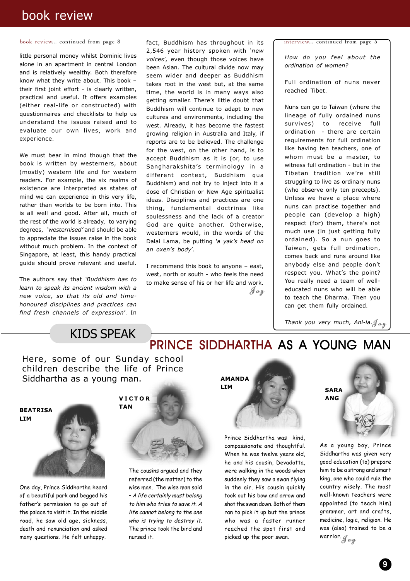## book review

book review... continued from page 8

little personal money whilst Dominic lives alone in an apartment in central London and is relatively wealthy. Both therefore know what they write about. This book – their first joint effort - is clearly written, practical and useful. It offers examples (either real-life or constructed) with questionnaires and checklists to help us understand the issues raised and to evaluate our own lives, work and experience.

We must bear in mind though that the book is written by westerners, about (mostly) western life and for western readers. For example, the six realms of existence are interpreted as states of mind we can experience in this very life, rather than worlds to be born into. This is all well and good. After all, much of the rest of the world is already, to varying degrees, *'westernised'* and should be able to appreciate the issues raise in the book without much problem. In the context of Singapore, at least, this handy practical guide should prove relevant and useful.

The authors say that *'Buddhism has to learn to speak its ancient wisdom with a new voice, so that its old and timehonoured disciplines and practices can find fresh channels of expression*'. In

fact, Buddhism has throughout in its 2,546 year history spoken with *'new voices*'*,* even though those voices have been Asian. The cultural divide now may seem wider and deeper as Buddhism takes root in the west but, at the same time, the world is in many ways also getting smaller. There's little doubt that Buddhism will continue to adapt to new cultures and environments, including the west. Already, it has become the fastest growing religion in Australia and Italy, if reports are to be believed. The challenge for the west, on the other hand, is to accept Buddhism as it is (or, to use Sangharakshita's terminology in a different context, Buddhism qua Buddhism) and not try to inject into it a dose of Christian or New Age spiritualist ideas. Disciplines and practices are one thing, fundamental doctrines like soulessness and the lack of a creator God are quite another. Otherwise, westerners would, in the words of the Dalai Lama, be putting *'a yak's head on an oxen's body*'*.*

I recommend this book to anyone – east, west, north or south - who feels the need to make sense of his or her life and work.  $\int \omega y$  interview... continued from page 5

*How do you feel about the ordination of women?*

Full ordination of nuns never reached Tibet.

Nuns can go to Taiwan (where the lineage of fully ordained nuns survives) to receive full ordination - there are certain requirements for full ordination like having ten teachers, one of whom must be a master, to witness full ordination - but in the Tibetan tradition we're still struggling to live as ordinary nuns (who observe only ten precepts). Unless we have a place where nuns can practise together and people can (develop a high) respect (for) them, there's not much use (in just getting fully ordained). So a nun goes to Taiwan, gets full ordination, comes back and runs around like anybody else and people don't respect you. What's the point? You really need a team of welleducated nuns who will be able to teach the Dharma. Then you can get them fully ordained.

Thank you very much, Ani-la. $\mathcal{J}_{\bm{\alpha} \bm{y}}$ 

## KIDS SPEAK

Here, some of our Sunday school children describe the life of Prince Siddhartha as a young man.



One day, Prince Siddhartha heard of a beautiful park and begged his father's permission to go out of the palace to visit it. In the middle road, he saw old age, sickness, death and renunciation and asked many questions. He felt unhappy.

# **VICTOR**



The cousins argued and they referred (the matter) to the wise man. The wise man said – A life certainly must belong to him who tries to save it. A life cannot belong to the one who is trying to destroy it. The prince took the bird and nursed it.



PRINCE SIDDHARTHA AS A YOUNG MAN

Prince Siddhartha was kind, compassionate and thoughtful. When he was twelve years old, he and his cousin, Devadatta, were walking in the woods when suddenly they saw a swan flying in the air. His cousin quickly took out his bow and arrow and shot the swan down. Both of them ran to pick it up but the prince who was a faster runner reached the spot first and picked up the poor swan.



As a young boy, Prince Siddhartha was given very good education (to) prepare him to be a strong and smart king, one who could rule the country wisely. The most well-known teachers were appointed (to teach him) grammar, art and crafts, medicine, logic, religion. He was (also) trained to be a warrior. J*oy*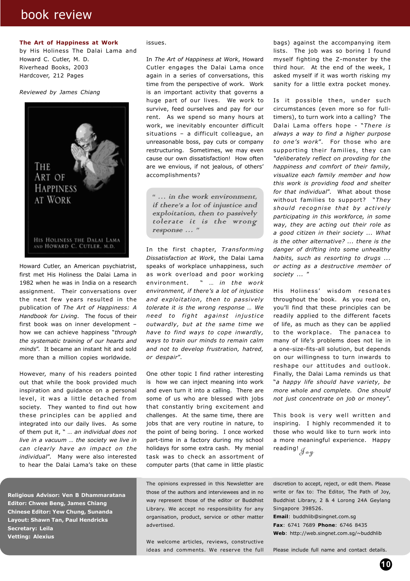## book review

#### **The Art of Happiness at Work**

by His Holiness The Dalai Lama and Howard C. Cutler, M. D. Riverhead Books, 2003 Hardcover, 212 Pages

*Reviewed by James Chiang*



Howard Cutler, an American psychiatrist, first met His Holiness the Dalai Lama in 1982 when he was in India on a research assignment. Their conversations over the next few years resulted in the publication of *The Art of Happiness: A Handbook for Living*. The focus of their first book was on inner development – how we can achieve happiness "*through the systematic training of our hearts and minds*". It became an instant hit and sold more than a million copies worldwide.

However, many of his readers pointed out that while the book provided much inspiration and guidance on a personal level, it was a little detached from society. They wanted to find out how these principles can be applied and integrated into our daily lives. As some of them put it, " *… an individual does not live in a vacuum … the society we live in can clearly have an impact on the individual*". Many were also interested to hear the Dalai Lama's take on these

**Religious Advisor: Ven B Dhammaratana Editor: Chwee Beng, James Chiang Chinese Editor: Yew Chung, Sunanda Layout: Shawn Tan, Paul Hendricks Secretary: Leila Vetting: Alexius**

#### issues.

In *The Art of Happiness at Work*, Howard Cutler engages the Dalai Lama once again in a series of conversations, this time from the perspective of work. Work is an important activity that governs a huge part of our lives. We work to survive, feed ourselves and pay for our rent. As we spend so many hours at work, we inevitably encounter difficult situations – a difficult colleague, an unreasonable boss, pay cuts or company restructuring. Sometimes, we may even cause our own dissatisfaction! How often are we envious, if not jealous, of others' accomplishments?

" … in the work environment, if there's a lot of injustice and exploitation, then to passively tolerate it is the wrong response … "

In the first chapter, *Transforming Dissatisfaction at Work*, the Dalai Lama speaks of workplace unhappiness, such as work overload and poor working environment. " … *in the work environment, if there's a lot of injustice and exploitation, then to passively tolerate it is the wrong response … We need to fight against injustice outwardly, but at the same time we have to find ways to cope inwardly, ways to train our minds to remain calm and not to develop frustration, hatred, or despair*".

One other topic I find rather interesting is how we can inject meaning into work and even turn it into a calling. There are some of us who are blessed with jobs that constantly bring excitement and challenges. At the same time, there are jobs that are very routine in nature, to the point of being boring. I once worked part-time in a factory during my school holidays for some extra cash. My menial task was to check an assortment of computer parts (that came in little plastic

The opinions expressed in this Newsletter are those of the authors and interviewees and in no way represent those of the editor or Buddhist Library. We accept no responsibility for any organisation, product, service or other matter advertised.

We welcome articles, reviews, constructive ideas and comments. We reserve the full bags) against the accompanying item lists. The job was so boring I found myself fighting the Z-monster by the third hour. At the end of the week, I asked myself if it was worth risking my sanity for a little extra pocket money.

Is it possible then, under such circumstances (even more so for fulltimers), to turn work into a calling? The Dalai Lama offers hope - "*There is always a way to find a higher purpose to one's work*". For those who are supporting their families, they can *"deliberately reflect on provding for the happiness and comfort of their family, visualize each family member and how this work is providing food and shelter for that individual*". What about those without families to support? "*They should recognise that by actively participating in this workforce, in some way, they are acting out their role as a good citizen in their society ... What is the other alternative? ... there is the danger of drifting into some unhealthy habits, such as resorting to drugs ... or acting as a destructive member of society ...* "

His Holiness' wisdom resonates throughout the book. As you read on, you'll find that these principles can be readily applied to the different facets of life, as much as they can be applied to the workplace. The panacea to many of life's problems does not lie in a one-size-fits-all solution, but depends on our willingness to turn inwards to reshape our attitudes and outlook. Finally, the Dalai Lama reminds us that "*a happy life should have variety, be more whole and complete. One should not just concentrate on job or money*".

reading!  $_{\mathscr{J} \bm{\mathscr{a}} \bm{y}}$ This book is very well written and inspiring. I highly recommended it to those who would like to turn work into a more meaningful experience. Happy

discretion to accept, reject, or edit them. Please write or fax to: The Editor, The Path of Joy, Buddhist Library, 2 & 4 Lorong 24A Geylang Singapore 398526.

**Email**: buddhlib@singnet.com.sg **Fax**: 6741 7689 **Phone**: 6746 8435 **Web**: http://web.singnet.com.sg/~buddhlib

Please include full name and contact details.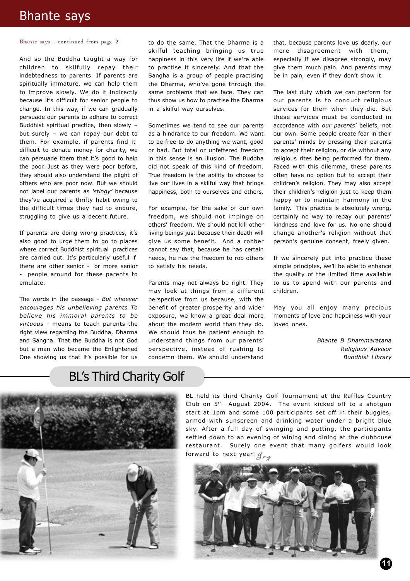## Bhante says

#### Bhante says... continued from page 2

And so the Buddha taught a way for children to skilfully repay their indebtedness to parents. If parents are spiritually immature, we can help them to improve slowly. We do it indirectly because it's difficult for senior people to change. In this way, if we can gradually persuade our parents to adhere to correct Buddhist spiritual practice, then slowly – but surely – we can repay our debt to them. For example, if parents find it difficult to donate money for charity, we can persuade them that it's good to help the poor. Just as they were poor before, they should also understand the plight of others who are poor now. But we should not label our parents as *'stingy'* because they've acquired a thrifty habit owing to the difficult times they had to endure, struggling to give us a decent future.

If parents are doing wrong practices, it's also good to urge them to go to places where correct Buddhist spiritual practices are carried out. It's particularly useful if there are other senior - or more senior - people around for these parents to emulate.

The words in the passage - *But whoever encourages his unbelieving parents To believe his immoral parents to be virtuous -* means to teach parents the right view regarding the Buddha, Dharma and Sangha. That the Buddha is not God but a man who became the Enlightened One showing us that it's possible for us

to do the same. That the Dharma is a skilful teaching bringing us true happiness in this very life if we're able to practise it sincerely. And that the Sangha is a group of people practising the Dharma, who've gone through the same problems that we face. They can thus show us how to practise the Dharma in a skilful way ourselves.

Sometimes we tend to see our parents as a hindrance to our freedom. We want to be free to do anything we want, good or bad. But total or unfettered freedom in this sense is an illusion. The Buddha did not speak of this kind of freedom. True freedom is the ability to choose to live our lives in a skilful way that brings happiness, both to ourselves and others.

For example, for the sake of our own freedom, we should not impinge on others' freedom. We should not kill other living beings just because their death will give us some benefit. And a robber cannot say that, because he has certain needs, he has the freedom to rob others to satisfy his needs.

Parents may not always be right. They may look at things from a different perspective from us because, with the benefit of greater prosperity and wider exposure, we know a great deal more about the modern world than they do. We should thus be patient enough to understand things from our parents' perspective, instead of rushing to condemn them. We should understand

that, because parents love us dearly, our mere disagreement with them, especially if we disagree strongly, may give them much pain. And parents may be in pain, even if they don't show it.

The last duty which we can perform for our parents is to conduct religious services for them when they die. But these services must be conducted in accordance with *our parents'* beliefs, not our own. Some people create fear in their parents' minds by pressing their parents to accept their religion, or die without any religious rites being performed for them. Faced with this dilemma, these parents often have no option but to accept their children's religion. They may also accept their children's religion just to keep them happy or to maintain harmony in the family. This practice is absolutely wrong, certainly no way to repay our parents' kindness and love for us. No one should change another's religion without that person's genuine consent, freely given.

If we sincerely put into practice these simple principles, we'll be able to enhance the quality of the limited time available to us to spend with our parents and children.

May you all enjoy many precious moments of love and happiness with your loved ones.

> *Bhante B Dhammaratana Religious Advisor Buddhist Library*

## BL's Third Charity Golf



BL held its third Charity Golf Tournament at the Raffles Country Club on 5th August 2004. The event kicked off to a shotgun start at 1pm and some 100 participants set off in their buggies, armed with sunscreen and drinking water under a bright blue sky. After a full day of swinging and putting, the participants settled down to an evening of wining and dining at the clubhouse restaurant. Surely one event that many golfers would look forward to next year!  $\mathcal{J}_{\alpha\psi}$